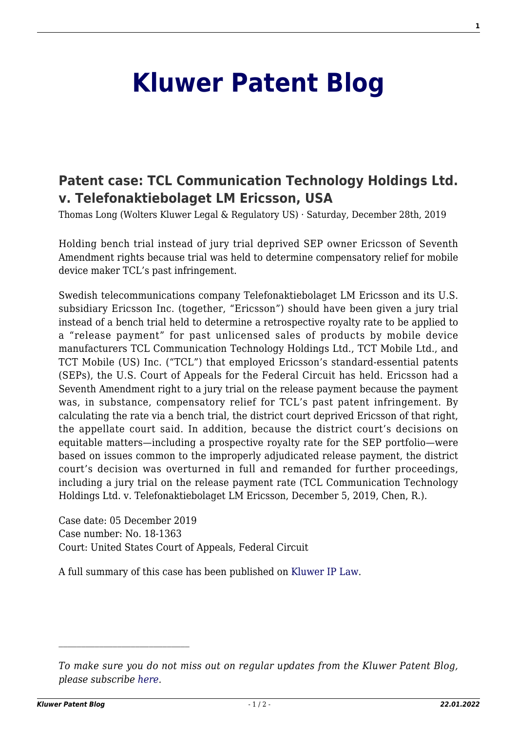## **[Kluwer Patent Blog](http://patentblog.kluweriplaw.com/)**

## **[Patent case: TCL Communication Technology Holdings Ltd.](http://patentblog.kluweriplaw.com/2019/12/28/patent-case-tcl-communication-technology-holdings-ltd-v-telefonaktiebolaget-lm-ericsson-usa/) [v. Telefonaktiebolaget LM Ericsson, USA](http://patentblog.kluweriplaw.com/2019/12/28/patent-case-tcl-communication-technology-holdings-ltd-v-telefonaktiebolaget-lm-ericsson-usa/)**

Thomas Long (Wolters Kluwer Legal & Regulatory US) · Saturday, December 28th, 2019

Holding bench trial instead of jury trial deprived SEP owner Ericsson of Seventh Amendment rights because trial was held to determine compensatory relief for mobile device maker TCL's past infringement.

Swedish telecommunications company Telefonaktiebolaget LM Ericsson and its U.S. subsidiary Ericsson Inc. (together, "Ericsson") should have been given a jury trial instead of a bench trial held to determine a retrospective royalty rate to be applied to a "release payment" for past unlicensed sales of products by mobile device manufacturers TCL Communication Technology Holdings Ltd., TCT Mobile Ltd., and TCT Mobile (US) Inc. ("TCL") that employed Ericsson's standard-essential patents (SEPs), the U.S. Court of Appeals for the Federal Circuit has held. Ericsson had a Seventh Amendment right to a jury trial on the release payment because the payment was, in substance, compensatory relief for TCL's past patent infringement. By calculating the rate via a bench trial, the district court deprived Ericsson of that right, the appellate court said. In addition, because the district court's decisions on equitable matters—including a prospective royalty rate for the SEP portfolio—were based on issues common to the improperly adjudicated release payment, the district court's decision was overturned in full and remanded for further proceedings, including a jury trial on the release payment rate (TCL Communication Technology Holdings Ltd. v. Telefonaktiebolaget LM Ericsson, December 5, 2019, Chen, R.).

Case date: 05 December 2019 Case number: No. 18-1363 Court: United States Court of Appeals, Federal Circuit

A full summary of this case has been published on [Kluwer IP Law.](http://www.kluweriplaw.com/document/KLI-KPL-ONS-19-49-019)

*To make sure you do not miss out on regular updates from the Kluwer Patent Blog, please subscribe [here.](http://patentblog.kluweriplaw.com/newsletter)*